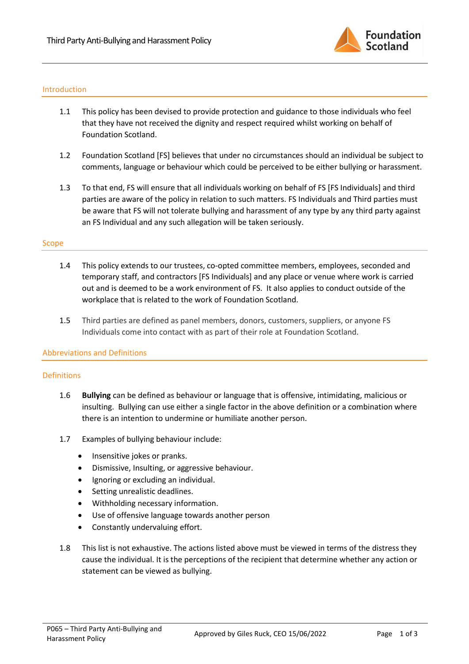

#### Introduction

- 1.1 This policy has been devised to provide protection and guidance to those individuals who feel that they have not received the dignity and respect required whilst working on behalf of Foundation Scotland.
- 1.2 Foundation Scotland [FS] believes that under no circumstances should an individual be subject to comments, language or behaviour which could be perceived to be either bullying or harassment.
- 1.3 To that end, FS will ensure that all individuals working on behalf of FS [FS Individuals] and third parties are aware of the policy in relation to such matters. FS Individuals and Third parties must be aware that FS will not tolerate bullying and harassment of any type by any third party against an FS Individual and any such allegation will be taken seriously.

#### Scope

- 1.4 This policy extends to our trustees, co-opted committee members, employees, seconded and temporary staff, and contractors [FS Individuals] and any place or venue where work is carried out and is deemed to be a work environment of FS. It also applies to conduct outside of the workplace that is related to the work of Foundation Scotland.
- 1.5 Third parties are defined as panel members, donors, customers, suppliers, or anyone FS Individuals come into contact with as part of their role at Foundation Scotland.

# Abbreviations and Definitions

# Definitions

- 1.6 **Bullying** can be defined as behaviour or language that is offensive, intimidating, malicious or insulting. Bullying can use either a single factor in the above definition or a combination where there is an intention to undermine or humiliate another person.
- 1.7 Examples of bullying behaviour include:
	- Insensitive jokes or pranks.
	- Dismissive, Insulting, or aggressive behaviour.
	- Ignoring or excluding an individual.
	- Setting unrealistic deadlines.
	- Withholding necessary information.
	- Use of offensive language towards another person
	- Constantly undervaluing effort.
- 1.8 This list is not exhaustive. The actions listed above must be viewed in terms of the distress they cause the individual. It is the perceptions of the recipient that determine whether any action or statement can be viewed as bullying.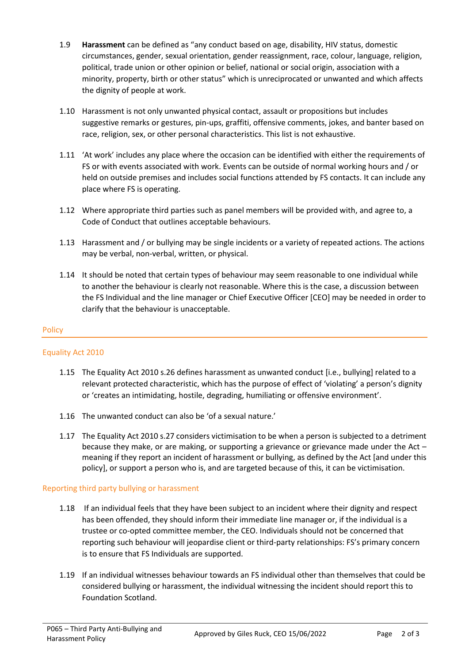- 1.9 **Harassment** can be defined as "any conduct based on age, disability, HIV status, domestic circumstances, gender, sexual orientation, gender reassignment, race, colour, language, religion, political, trade union or other opinion or belief, national or social origin, association with a minority, property, birth or other status" which is unreciprocated or unwanted and which affects the dignity of people at work.
- 1.10 Harassment is not only unwanted physical contact, assault or propositions but includes suggestive remarks or gestures, pin-ups, graffiti, offensive comments, jokes, and banter based on race, religion, sex, or other personal characteristics. This list is not exhaustive.
- 1.11 'At work' includes any place where the occasion can be identified with either the requirements of FS or with events associated with work. Events can be outside of normal working hours and / or held on outside premises and includes social functions attended by FS contacts. It can include any place where FS is operating.
- 1.12 Where appropriate third parties such as panel members will be provided with, and agree to, a Code of Conduct that outlines acceptable behaviours.
- 1.13 Harassment and / or bullying may be single incidents or a variety of repeated actions. The actions may be verbal, non-verbal, written, or physical.
- 1.14 It should be noted that certain types of behaviour may seem reasonable to one individual while to another the behaviour is clearly not reasonable. Where this is the case, a discussion between the FS Individual and the line manager or Chief Executive Officer [CEO] may be needed in order to clarify that the behaviour is unacceptable.

# **Policy**

# Equality Act 2010

- 1.15 The Equality Act 2010 s.26 defines harassment as unwanted conduct [i.e., bullying] related to a relevant protected characteristic, which has the purpose of effect of 'violating' a person's dignity or 'creates an intimidating, hostile, degrading, humiliating or offensive environment'.
- 1.16 The unwanted conduct can also be 'of a sexual nature.'
- 1.17 The Equality Act 2010 s.27 considers victimisation to be when a person is subjected to a detriment because they make, or are making, or supporting a grievance or grievance made under the Act – meaning if they report an incident of harassment or bullying, as defined by the Act [and under this policy], or support a person who is, and are targeted because of this, it can be victimisation.

# Reporting third party bullying or harassment

- 1.18 If an individual feels that they have been subject to an incident where their dignity and respect has been offended, they should inform their immediate line manager or, if the individual is a trustee or co-opted committee member, the CEO. Individuals should not be concerned that reporting such behaviour will jeopardise client or third-party relationships: FS's primary concern is to ensure that FS Individuals are supported.
- 1.19 If an individual witnesses behaviour towards an FS individual other than themselves that could be considered bullying or harassment, the individual witnessing the incident should report this to Foundation Scotland.